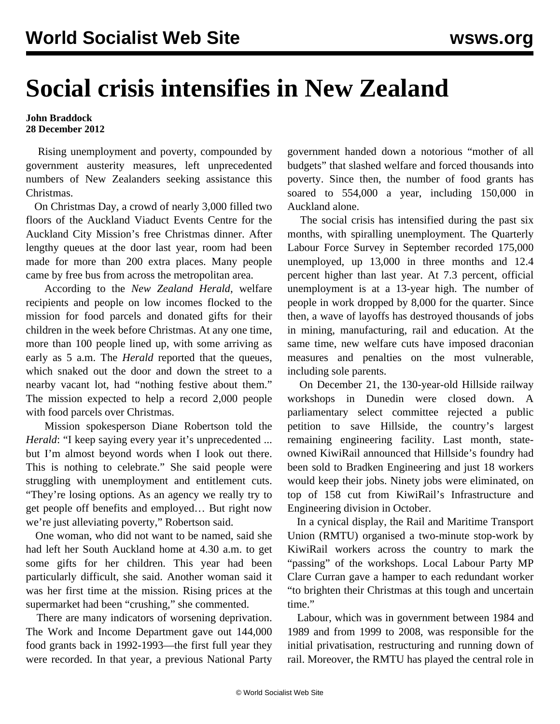## **Social crisis intensifies in New Zealand**

## **John Braddock 28 December 2012**

 Rising unemployment and poverty, compounded by government austerity measures, left unprecedented numbers of New Zealanders seeking assistance this Christmas.

 On Christmas Day, a crowd of nearly 3,000 filled two floors of the Auckland Viaduct Events Centre for the Auckland City Mission's free Christmas dinner. After lengthy queues at the door last year, room had been made for more than 200 extra places. Many people came by free bus from across the metropolitan area.

 According to the *New Zealand Herald*, welfare recipients and people on low incomes flocked to the mission for food parcels and donated gifts for their children in the week before Christmas. At any one time, more than 100 people lined up, with some arriving as early as 5 a.m. The *Herald* reported that the queues, which snaked out the door and down the street to a nearby vacant lot, had "nothing festive about them." The mission expected to help a record 2,000 people with food parcels over Christmas.

 Mission spokesperson Diane Robertson told the *Herald*: "I keep saying every year it's unprecedented ... but I'm almost beyond words when I look out there. This is nothing to celebrate." She said people were struggling with unemployment and entitlement cuts. "They're losing options. As an agency we really try to get people off benefits and employed… But right now we're just alleviating poverty," Robertson said.

 One woman, who did not want to be named, said she had left her South Auckland home at 4.30 a.m. to get some gifts for her children. This year had been particularly difficult, she said. Another woman said it was her first time at the mission. Rising prices at the supermarket had been "crushing," she commented.

 There are many indicators of worsening deprivation. The Work and Income Department gave out 144,000 food grants back in 1992-1993—the first full year they were recorded. In that year, a previous National Party government handed down a notorious "mother of all budgets" that slashed welfare and forced thousands into poverty. Since then, the number of food grants has soared to 554,000 a year, including 150,000 in Auckland alone.

 The social crisis has intensified during the past six months, with spiralling unemployment. The Quarterly Labour Force Survey in September recorded 175,000 unemployed, up 13,000 in three months and 12.4 percent higher than last year. At 7.3 percent, official unemployment is at a 13-year high. The number of people in work dropped by 8,000 for the quarter. Since then, a wave of layoffs has destroyed thousands of jobs in mining, manufacturing, rail and education. At the same time, new welfare cuts have imposed draconian measures and penalties on the most vulnerable, including sole parents.

 On December 21, the 130-year-old Hillside railway workshops in Dunedin were closed down. A parliamentary select committee rejected a public petition to save Hillside, the country's largest remaining engineering facility. Last month, stateowned KiwiRail announced that Hillside's foundry had been sold to Bradken Engineering and just 18 workers would keep their jobs. Ninety jobs were eliminated, on top of 158 cut from KiwiRail's Infrastructure and Engineering division in October.

 In a cynical display, the Rail and Maritime Transport Union (RMTU) organised a two-minute stop-work by KiwiRail workers across the country to mark the "passing" of the workshops. Local Labour Party MP Clare Curran gave a hamper to each redundant worker "to brighten their Christmas at this tough and uncertain time."

 Labour, which was in government between 1984 and 1989 and from 1999 to 2008, was responsible for the initial privatisation, restructuring and running down of rail. Moreover, the RMTU has played the central role in